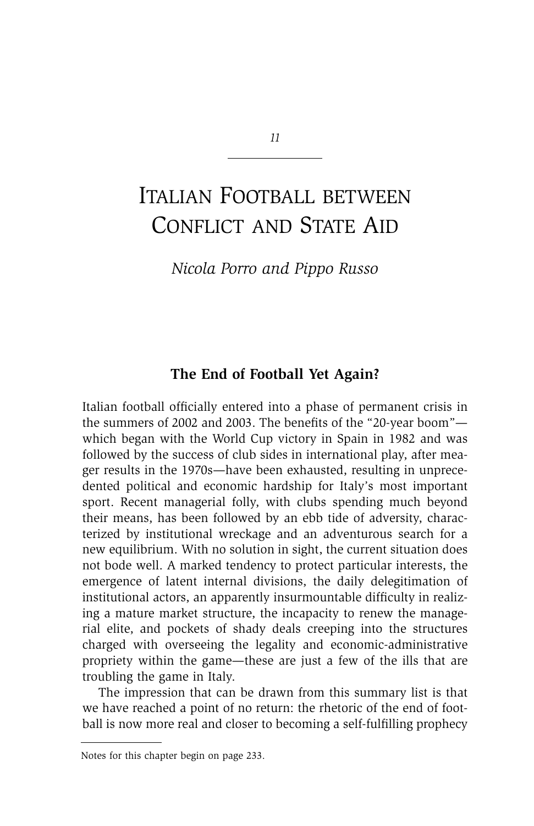# ITALIAN FOOTBALL BETWEEN CONFLICT AND STATE AID

*Nicola Porro and Pippo Russo*

# **The End of Football Yet Again?**

Italian football officially entered into a phase of permanent crisis in the summers of 2002 and 2003. The benefits of the "20-year boom" which began with the World Cup victory in Spain in 1982 and was followed by the success of club sides in international play, after meager results in the 1970s—have been exhausted, resulting in unprecedented political and economic hardship for Italy's most important sport. Recent managerial folly, with clubs spending much beyond their means, has been followed by an ebb tide of adversity, characterized by institutional wreckage and an adventurous search for a new equilibrium. With no solution in sight, the current situation does not bode well. A marked tendency to protect particular interests, the emergence of latent internal divisions, the daily delegitimation of institutional actors, an apparently insurmountable difficulty in realizing a mature market structure, the incapacity to renew the managerial elite, and pockets of shady deals creeping into the structures charged with overseeing the legality and economic-administrative propriety within the game—these are just a few of the ills that are troubling the game in Italy.

The impression that can be drawn from this summary list is that we have reached a point of no return: the rhetoric of the end of football is now more real and closer to becoming a self-fulfilling prophecy

Notes for this chapter begin on page 233.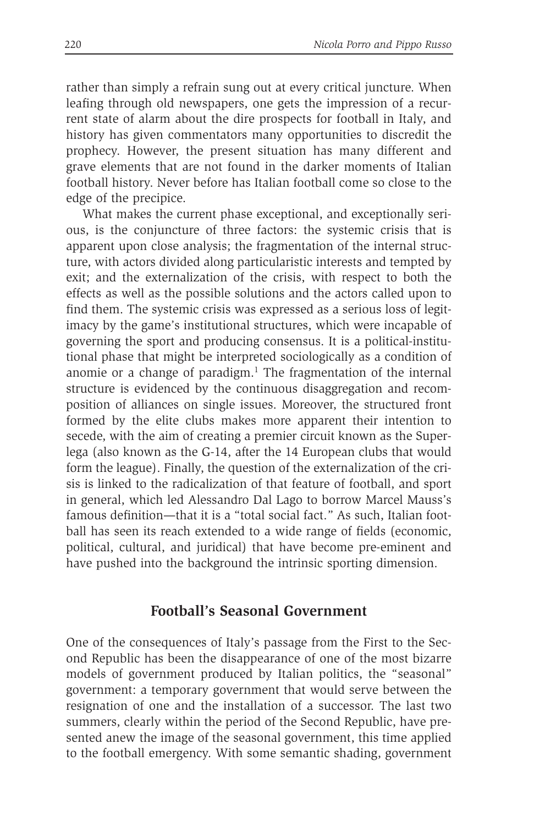rather than simply a refrain sung out at every critical juncture. When leafing through old newspapers, one gets the impression of a recurrent state of alarm about the dire prospects for football in Italy, and history has given commentators many opportunities to discredit the prophecy. However, the present situation has many different and grave elements that are not found in the darker moments of Italian football history. Never before has Italian football come so close to the edge of the precipice.

What makes the current phase exceptional, and exceptionally serious, is the conjuncture of three factors: the systemic crisis that is apparent upon close analysis; the fragmentation of the internal structure, with actors divided along particularistic interests and tempted by exit; and the externalization of the crisis, with respect to both the effects as well as the possible solutions and the actors called upon to find them. The systemic crisis was expressed as a serious loss of legitimacy by the game's institutional structures, which were incapable of governing the sport and producing consensus. It is a political-institutional phase that might be interpreted sociologically as a condition of anomie or a change of paradigm. $<sup>1</sup>$  The fragmentation of the internal</sup> structure is evidenced by the continuous disaggregation and recomposition of alliances on single issues. Moreover, the structured front formed by the elite clubs makes more apparent their intention to secede, with the aim of creating a premier circuit known as the Superlega (also known as the G-14, after the 14 European clubs that would form the league). Finally, the question of the externalization of the crisis is linked to the radicalization of that feature of football, and sport in general, which led Alessandro Dal Lago to borrow Marcel Mauss's famous definition—that it is a "total social fact." As such, Italian football has seen its reach extended to a wide range of fields (economic, political, cultural, and juridical) that have become pre-eminent and have pushed into the background the intrinsic sporting dimension.

#### **Football's Seasonal Government**

One of the consequences of Italy's passage from the First to the Second Republic has been the disappearance of one of the most bizarre models of government produced by Italian politics, the "seasonal" government: a temporary government that would serve between the resignation of one and the installation of a successor. The last two summers, clearly within the period of the Second Republic, have presented anew the image of the seasonal government, this time applied to the football emergency. With some semantic shading, government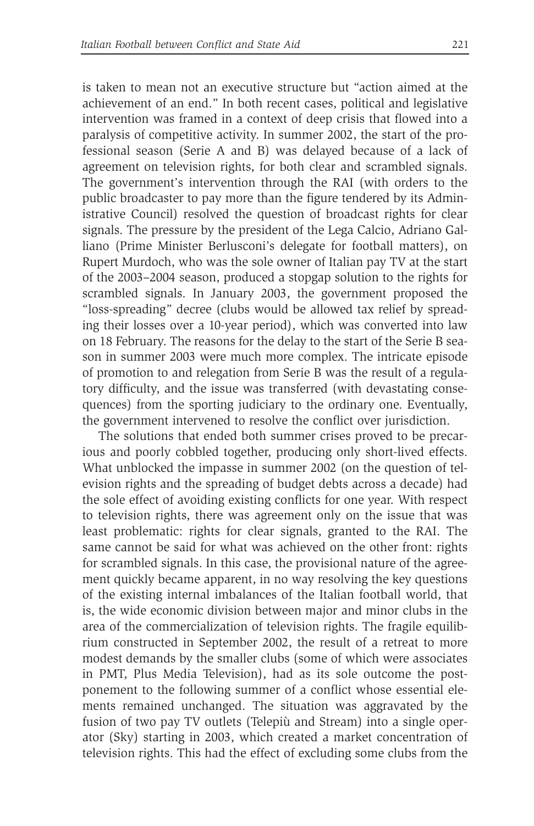is taken to mean not an executive structure but "action aimed at the achievement of an end." In both recent cases, political and legislative intervention was framed in a context of deep crisis that flowed into a paralysis of competitive activity. In summer 2002, the start of the professional season (Serie A and B) was delayed because of a lack of agreement on television rights, for both clear and scrambled signals. The government's intervention through the RAI (with orders to the public broadcaster to pay more than the figure tendered by its Administrative Council) resolved the question of broadcast rights for clear signals. The pressure by the president of the Lega Calcio, Adriano Galliano (Prime Minister Berlusconi's delegate for football matters), on Rupert Murdoch, who was the sole owner of Italian pay TV at the start of the 2003–2004 season, produced a stopgap solution to the rights for scrambled signals. In January 2003, the government proposed the "loss-spreading" decree (clubs would be allowed tax relief by spreading their losses over a 10-year period), which was converted into law on 18 February. The reasons for the delay to the start of the Serie B season in summer 2003 were much more complex. The intricate episode of promotion to and relegation from Serie B was the result of a regulatory difficulty, and the issue was transferred (with devastating consequences) from the sporting judiciary to the ordinary one. Eventually, the government intervened to resolve the conflict over jurisdiction.

The solutions that ended both summer crises proved to be precarious and poorly cobbled together, producing only short-lived effects. What unblocked the impasse in summer 2002 (on the question of television rights and the spreading of budget debts across a decade) had the sole effect of avoiding existing conflicts for one year. With respect to television rights, there was agreement only on the issue that was least problematic: rights for clear signals, granted to the RAI. The same cannot be said for what was achieved on the other front: rights for scrambled signals. In this case, the provisional nature of the agreement quickly became apparent, in no way resolving the key questions of the existing internal imbalances of the Italian football world, that is, the wide economic division between major and minor clubs in the area of the commercialization of television rights. The fragile equilibrium constructed in September 2002, the result of a retreat to more modest demands by the smaller clubs (some of which were associates in PMT, Plus Media Television), had as its sole outcome the postponement to the following summer of a conflict whose essential elements remained unchanged. The situation was aggravated by the fusion of two pay TV outlets (Telepiù and Stream) into a single operator (Sky) starting in 2003, which created a market concentration of television rights. This had the effect of excluding some clubs from the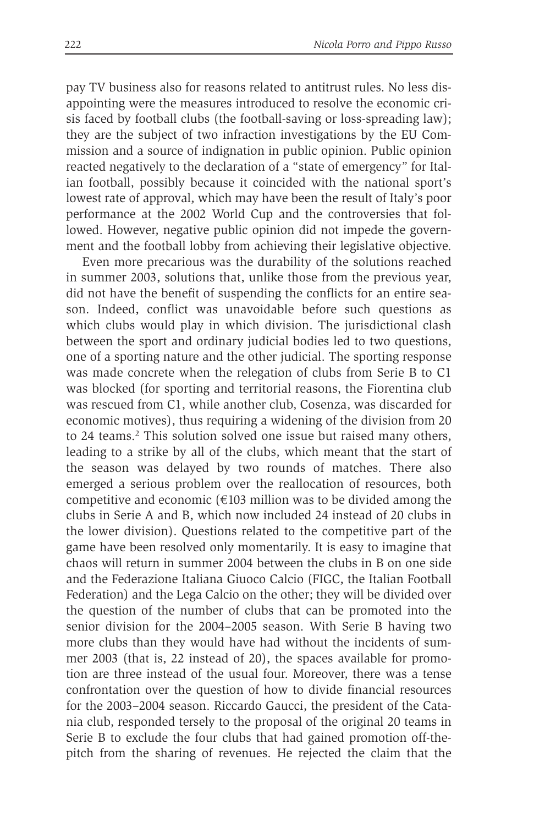pay TV business also for reasons related to antitrust rules. No less disappointing were the measures introduced to resolve the economic crisis faced by football clubs (the football-saving or loss-spreading law); they are the subject of two infraction investigations by the EU Commission and a source of indignation in public opinion. Public opinion reacted negatively to the declaration of a "state of emergency" for Italian football, possibly because it coincided with the national sport's lowest rate of approval, which may have been the result of Italy's poor performance at the 2002 World Cup and the controversies that followed. However, negative public opinion did not impede the government and the football lobby from achieving their legislative objective.

Even more precarious was the durability of the solutions reached in summer 2003, solutions that, unlike those from the previous year, did not have the benefit of suspending the conflicts for an entire season. Indeed, conflict was unavoidable before such questions as which clubs would play in which division. The jurisdictional clash between the sport and ordinary judicial bodies led to two questions, one of a sporting nature and the other judicial. The sporting response was made concrete when the relegation of clubs from Serie B to C1 was blocked (for sporting and territorial reasons, the Fiorentina club was rescued from C1, while another club, Cosenza, was discarded for economic motives), thus requiring a widening of the division from 20 to 24 teams.<sup>2</sup> This solution solved one issue but raised many others, leading to a strike by all of the clubs, which meant that the start of the season was delayed by two rounds of matches. There also emerged a serious problem over the reallocation of resources, both competitive and economic  $(\text{\textsterling}103$  million was to be divided among the clubs in Serie A and B, which now included 24 instead of 20 clubs in the lower division). Questions related to the competitive part of the game have been resolved only momentarily. It is easy to imagine that chaos will return in summer 2004 between the clubs in B on one side and the Federazione Italiana Giuoco Calcio (FIGC, the Italian Football Federation) and the Lega Calcio on the other; they will be divided over the question of the number of clubs that can be promoted into the senior division for the 2004–2005 season. With Serie B having two more clubs than they would have had without the incidents of summer 2003 (that is, 22 instead of 20), the spaces available for promotion are three instead of the usual four. Moreover, there was a tense confrontation over the question of how to divide financial resources for the 2003–2004 season. Riccardo Gaucci, the president of the Catania club, responded tersely to the proposal of the original 20 teams in Serie B to exclude the four clubs that had gained promotion off-thepitch from the sharing of revenues. He rejected the claim that the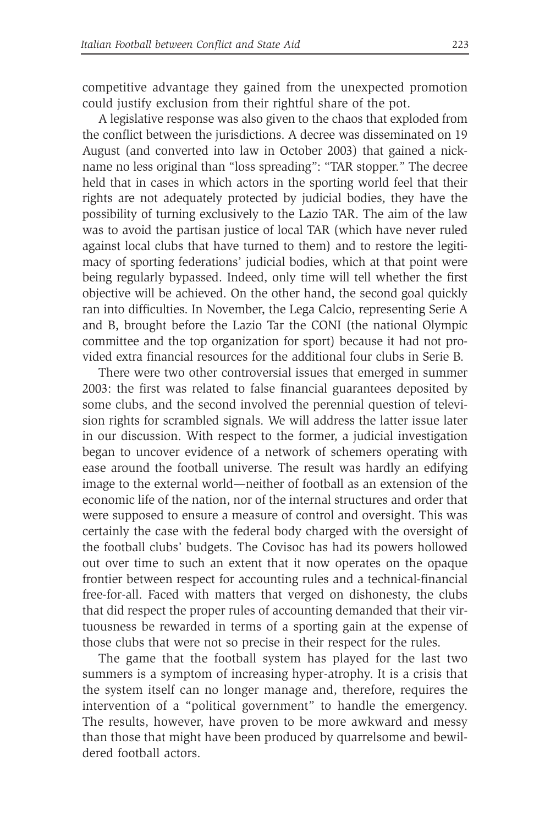competitive advantage they gained from the unexpected promotion could justify exclusion from their rightful share of the pot.

A legislative response was also given to the chaos that exploded from the conflict between the jurisdictions. A decree was disseminated on 19 August (and converted into law in October 2003) that gained a nickname no less original than "loss spreading": "TAR stopper." The decree held that in cases in which actors in the sporting world feel that their rights are not adequately protected by judicial bodies, they have the possibility of turning exclusively to the Lazio TAR. The aim of the law was to avoid the partisan justice of local TAR (which have never ruled against local clubs that have turned to them) and to restore the legitimacy of sporting federations' judicial bodies, which at that point were being regularly bypassed. Indeed, only time will tell whether the first objective will be achieved. On the other hand, the second goal quickly ran into difficulties. In November, the Lega Calcio, representing Serie A and B, brought before the Lazio Tar the CONI (the national Olympic committee and the top organization for sport) because it had not provided extra financial resources for the additional four clubs in Serie B.

There were two other controversial issues that emerged in summer 2003: the first was related to false financial guarantees deposited by some clubs, and the second involved the perennial question of television rights for scrambled signals. We will address the latter issue later in our discussion. With respect to the former, a judicial investigation began to uncover evidence of a network of schemers operating with ease around the football universe. The result was hardly an edifying image to the external world—neither of football as an extension of the economic life of the nation, nor of the internal structures and order that were supposed to ensure a measure of control and oversight. This was certainly the case with the federal body charged with the oversight of the football clubs' budgets. The Covisoc has had its powers hollowed out over time to such an extent that it now operates on the opaque frontier between respect for accounting rules and a technical-financial free-for-all. Faced with matters that verged on dishonesty, the clubs that did respect the proper rules of accounting demanded that their virtuousness be rewarded in terms of a sporting gain at the expense of those clubs that were not so precise in their respect for the rules.

The game that the football system has played for the last two summers is a symptom of increasing hyper-atrophy. It is a crisis that the system itself can no longer manage and, therefore, requires the intervention of a "political government" to handle the emergency. The results, however, have proven to be more awkward and messy than those that might have been produced by quarrelsome and bewildered football actors.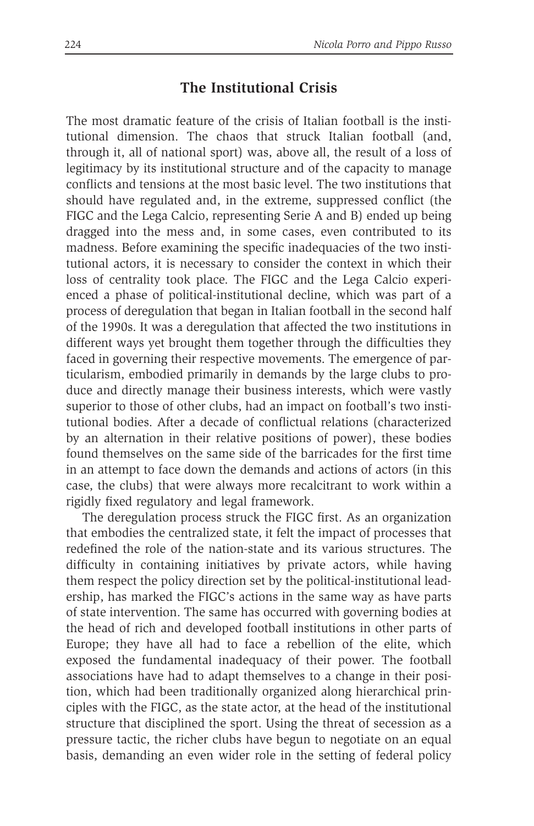### **The Institutional Crisis**

The most dramatic feature of the crisis of Italian football is the institutional dimension. The chaos that struck Italian football (and, through it, all of national sport) was, above all, the result of a loss of legitimacy by its institutional structure and of the capacity to manage conflicts and tensions at the most basic level. The two institutions that should have regulated and, in the extreme, suppressed conflict (the FIGC and the Lega Calcio, representing Serie A and B) ended up being dragged into the mess and, in some cases, even contributed to its madness. Before examining the specific inadequacies of the two institutional actors, it is necessary to consider the context in which their loss of centrality took place. The FIGC and the Lega Calcio experienced a phase of political-institutional decline, which was part of a process of deregulation that began in Italian football in the second half of the 1990s. It was a deregulation that affected the two institutions in different ways yet brought them together through the difficulties they faced in governing their respective movements. The emergence of particularism, embodied primarily in demands by the large clubs to produce and directly manage their business interests, which were vastly superior to those of other clubs, had an impact on football's two institutional bodies. After a decade of conflictual relations (characterized by an alternation in their relative positions of power), these bodies found themselves on the same side of the barricades for the first time in an attempt to face down the demands and actions of actors (in this case, the clubs) that were always more recalcitrant to work within a rigidly fixed regulatory and legal framework.

The deregulation process struck the FIGC first. As an organization that embodies the centralized state, it felt the impact of processes that redefined the role of the nation-state and its various structures. The difficulty in containing initiatives by private actors, while having them respect the policy direction set by the political-institutional leadership, has marked the FIGC's actions in the same way as have parts of state intervention. The same has occurred with governing bodies at the head of rich and developed football institutions in other parts of Europe; they have all had to face a rebellion of the elite, which exposed the fundamental inadequacy of their power. The football associations have had to adapt themselves to a change in their position, which had been traditionally organized along hierarchical principles with the FIGC, as the state actor, at the head of the institutional structure that disciplined the sport. Using the threat of secession as a pressure tactic, the richer clubs have begun to negotiate on an equal basis, demanding an even wider role in the setting of federal policy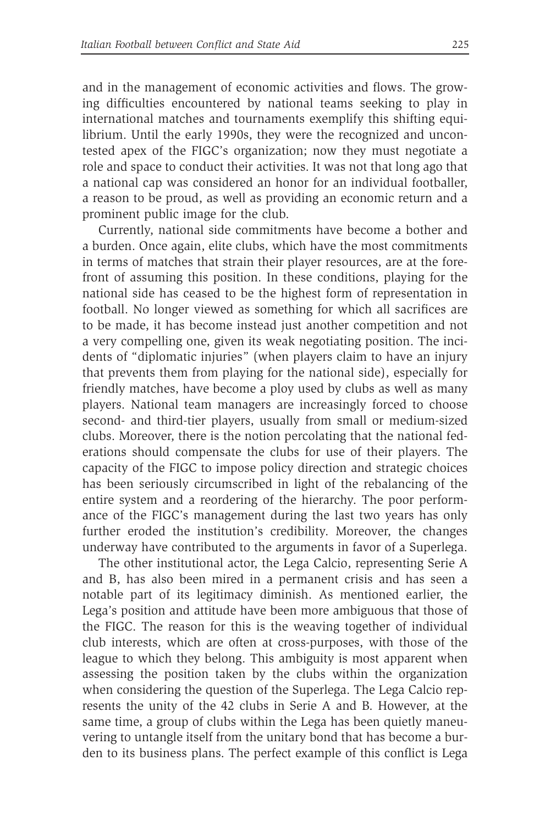and in the management of economic activities and flows. The growing difficulties encountered by national teams seeking to play in international matches and tournaments exemplify this shifting equilibrium. Until the early 1990s, they were the recognized and uncontested apex of the FIGC's organization; now they must negotiate a role and space to conduct their activities. It was not that long ago that a national cap was considered an honor for an individual footballer, a reason to be proud, as well as providing an economic return and a prominent public image for the club.

Currently, national side commitments have become a bother and a burden. Once again, elite clubs, which have the most commitments in terms of matches that strain their player resources, are at the forefront of assuming this position. In these conditions, playing for the national side has ceased to be the highest form of representation in football. No longer viewed as something for which all sacrifices are to be made, it has become instead just another competition and not a very compelling one, given its weak negotiating position. The incidents of "diplomatic injuries" (when players claim to have an injury that prevents them from playing for the national side), especially for friendly matches, have become a ploy used by clubs as well as many players. National team managers are increasingly forced to choose second- and third-tier players, usually from small or medium-sized clubs. Moreover, there is the notion percolating that the national federations should compensate the clubs for use of their players. The capacity of the FIGC to impose policy direction and strategic choices has been seriously circumscribed in light of the rebalancing of the entire system and a reordering of the hierarchy. The poor performance of the FIGC's management during the last two years has only further eroded the institution's credibility. Moreover, the changes underway have contributed to the arguments in favor of a Superlega.

The other institutional actor, the Lega Calcio, representing Serie A and B, has also been mired in a permanent crisis and has seen a notable part of its legitimacy diminish. As mentioned earlier, the Lega's position and attitude have been more ambiguous that those of the FIGC. The reason for this is the weaving together of individual club interests, which are often at cross-purposes, with those of the league to which they belong. This ambiguity is most apparent when assessing the position taken by the clubs within the organization when considering the question of the Superlega. The Lega Calcio represents the unity of the 42 clubs in Serie A and B. However, at the same time, a group of clubs within the Lega has been quietly maneuvering to untangle itself from the unitary bond that has become a burden to its business plans. The perfect example of this conflict is Lega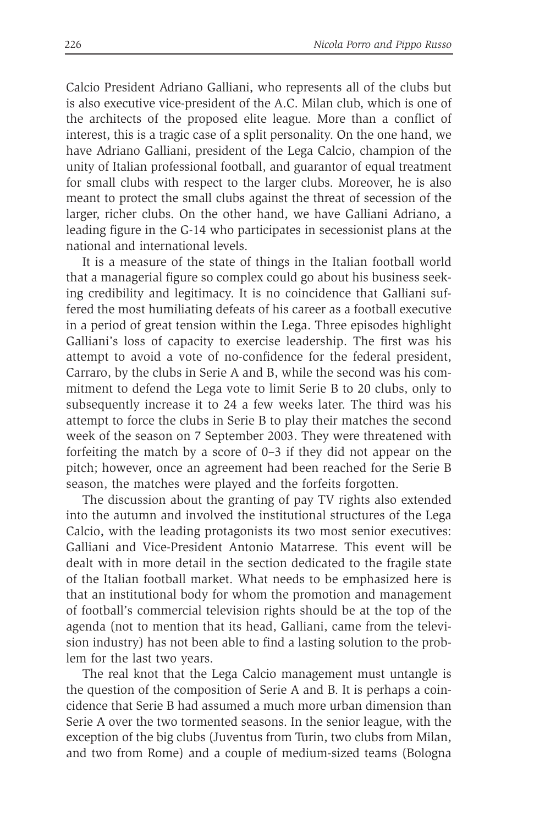Calcio President Adriano Galliani, who represents all of the clubs but is also executive vice-president of the A.C. Milan club, which is one of the architects of the proposed elite league. More than a conflict of interest, this is a tragic case of a split personality. On the one hand, we have Adriano Galliani, president of the Lega Calcio, champion of the unity of Italian professional football, and guarantor of equal treatment for small clubs with respect to the larger clubs. Moreover, he is also meant to protect the small clubs against the threat of secession of the larger, richer clubs. On the other hand, we have Galliani Adriano, a leading figure in the G-14 who participates in secessionist plans at the national and international levels.

It is a measure of the state of things in the Italian football world that a managerial figure so complex could go about his business seeking credibility and legitimacy. It is no coincidence that Galliani suffered the most humiliating defeats of his career as a football executive in a period of great tension within the Lega. Three episodes highlight Galliani's loss of capacity to exercise leadership. The first was his attempt to avoid a vote of no-confidence for the federal president, Carraro, by the clubs in Serie A and B, while the second was his commitment to defend the Lega vote to limit Serie B to 20 clubs, only to subsequently increase it to 24 a few weeks later. The third was his attempt to force the clubs in Serie B to play their matches the second week of the season on 7 September 2003. They were threatened with forfeiting the match by a score of 0–3 if they did not appear on the pitch; however, once an agreement had been reached for the Serie B season, the matches were played and the forfeits forgotten.

The discussion about the granting of pay TV rights also extended into the autumn and involved the institutional structures of the Lega Calcio, with the leading protagonists its two most senior executives: Galliani and Vice-President Antonio Matarrese. This event will be dealt with in more detail in the section dedicated to the fragile state of the Italian football market. What needs to be emphasized here is that an institutional body for whom the promotion and management of football's commercial television rights should be at the top of the agenda (not to mention that its head, Galliani, came from the television industry) has not been able to find a lasting solution to the problem for the last two years.

The real knot that the Lega Calcio management must untangle is the question of the composition of Serie A and B. It is perhaps a coincidence that Serie B had assumed a much more urban dimension than Serie A over the two tormented seasons. In the senior league, with the exception of the big clubs (Juventus from Turin, two clubs from Milan, and two from Rome) and a couple of medium-sized teams (Bologna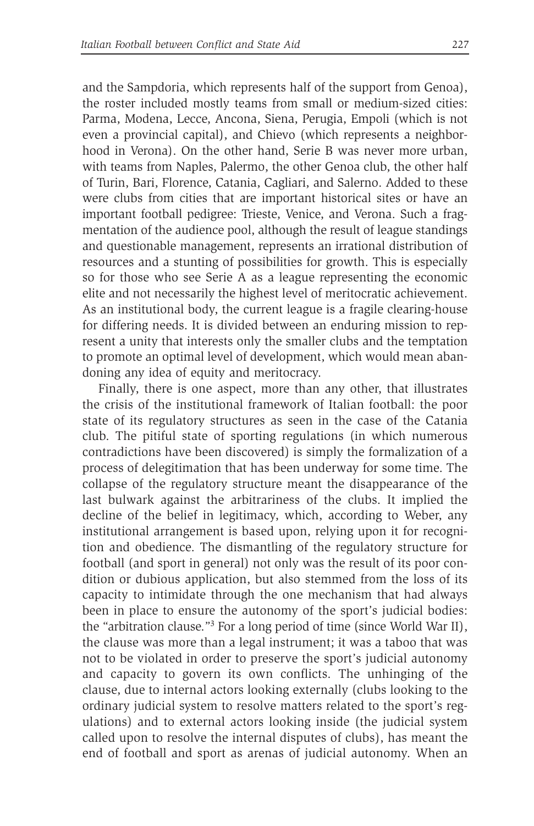and the Sampdoria, which represents half of the support from Genoa), the roster included mostly teams from small or medium-sized cities: Parma, Modena, Lecce, Ancona, Siena, Perugia, Empoli (which is not even a provincial capital), and Chievo (which represents a neighborhood in Verona). On the other hand, Serie B was never more urban, with teams from Naples, Palermo, the other Genoa club, the other half of Turin, Bari, Florence, Catania, Cagliari, and Salerno. Added to these were clubs from cities that are important historical sites or have an important football pedigree: Trieste, Venice, and Verona. Such a fragmentation of the audience pool, although the result of league standings and questionable management, represents an irrational distribution of resources and a stunting of possibilities for growth. This is especially so for those who see Serie A as a league representing the economic elite and not necessarily the highest level of meritocratic achievement. As an institutional body, the current league is a fragile clearing-house for differing needs. It is divided between an enduring mission to represent a unity that interests only the smaller clubs and the temptation to promote an optimal level of development, which would mean abandoning any idea of equity and meritocracy.

Finally, there is one aspect, more than any other, that illustrates the crisis of the institutional framework of Italian football: the poor state of its regulatory structures as seen in the case of the Catania club. The pitiful state of sporting regulations (in which numerous contradictions have been discovered) is simply the formalization of a process of delegitimation that has been underway for some time. The collapse of the regulatory structure meant the disappearance of the last bulwark against the arbitrariness of the clubs. It implied the decline of the belief in legitimacy, which, according to Weber, any institutional arrangement is based upon, relying upon it for recognition and obedience. The dismantling of the regulatory structure for football (and sport in general) not only was the result of its poor condition or dubious application, but also stemmed from the loss of its capacity to intimidate through the one mechanism that had always been in place to ensure the autonomy of the sport's judicial bodies: the "arbitration clause."3 For a long period of time (since World War II), the clause was more than a legal instrument; it was a taboo that was not to be violated in order to preserve the sport's judicial autonomy and capacity to govern its own conflicts. The unhinging of the clause, due to internal actors looking externally (clubs looking to the ordinary judicial system to resolve matters related to the sport's regulations) and to external actors looking inside (the judicial system called upon to resolve the internal disputes of clubs), has meant the end of football and sport as arenas of judicial autonomy. When an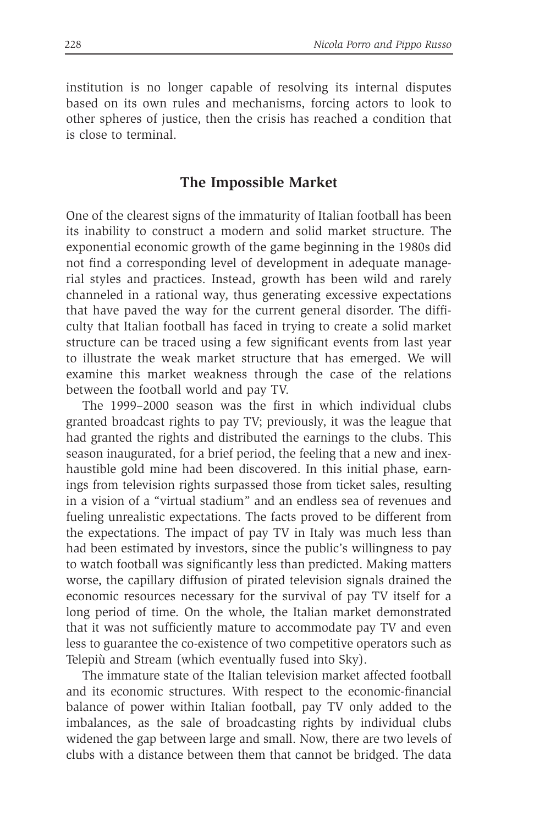institution is no longer capable of resolving its internal disputes based on its own rules and mechanisms, forcing actors to look to other spheres of justice, then the crisis has reached a condition that is close to terminal.

#### **The Impossible Market**

One of the clearest signs of the immaturity of Italian football has been its inability to construct a modern and solid market structure. The exponential economic growth of the game beginning in the 1980s did not find a corresponding level of development in adequate managerial styles and practices. Instead, growth has been wild and rarely channeled in a rational way, thus generating excessive expectations that have paved the way for the current general disorder. The difficulty that Italian football has faced in trying to create a solid market structure can be traced using a few significant events from last year to illustrate the weak market structure that has emerged. We will examine this market weakness through the case of the relations between the football world and pay TV.

The 1999–2000 season was the first in which individual clubs granted broadcast rights to pay TV; previously, it was the league that had granted the rights and distributed the earnings to the clubs. This season inaugurated, for a brief period, the feeling that a new and inexhaustible gold mine had been discovered. In this initial phase, earnings from television rights surpassed those from ticket sales, resulting in a vision of a "virtual stadium" and an endless sea of revenues and fueling unrealistic expectations. The facts proved to be different from the expectations. The impact of pay TV in Italy was much less than had been estimated by investors, since the public's willingness to pay to watch football was significantly less than predicted. Making matters worse, the capillary diffusion of pirated television signals drained the economic resources necessary for the survival of pay TV itself for a long period of time. On the whole, the Italian market demonstrated that it was not sufficiently mature to accommodate pay TV and even less to guarantee the co-existence of two competitive operators such as Telepiù and Stream (which eventually fused into Sky).

The immature state of the Italian television market affected football and its economic structures. With respect to the economic-financial balance of power within Italian football, pay TV only added to the imbalances, as the sale of broadcasting rights by individual clubs widened the gap between large and small. Now, there are two levels of clubs with a distance between them that cannot be bridged. The data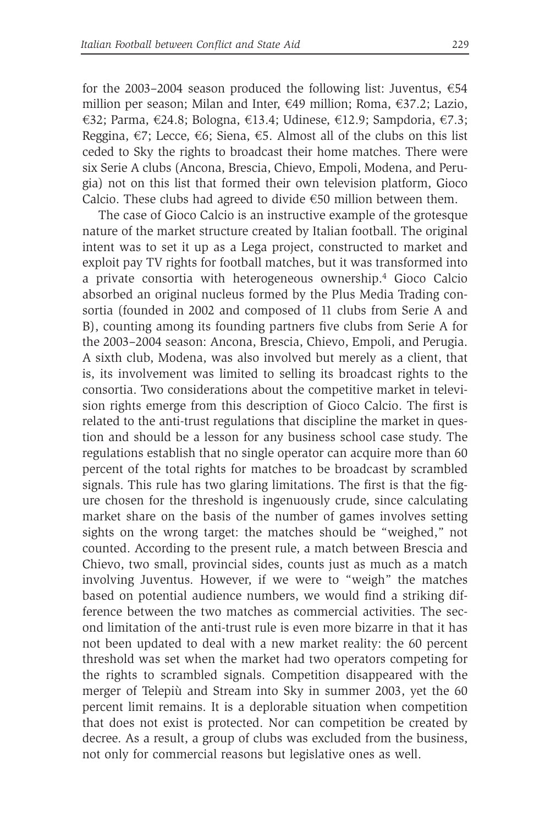for the 2003–2004 season produced the following list: Juventus,  $€54$ million per season; Milan and Inter,  $\epsilon$ 49 million; Roma,  $\epsilon$ 37.2; Lazio, €32; Parma, €24.8; Bologna, €13.4; Udinese, €12.9; Sampdoria, €7.3; Reggina,  $\epsilon$ 7; Lecce,  $\epsilon$ 6; Siena,  $\epsilon$ 5. Almost all of the clubs on this list ceded to Sky the rights to broadcast their home matches. There were six Serie A clubs (Ancona, Brescia, Chievo, Empoli, Modena, and Perugia) not on this list that formed their own television platform, Gioco Calcio. These clubs had agreed to divide  $\epsilon$ 50 million between them.

The case of Gioco Calcio is an instructive example of the grotesque nature of the market structure created by Italian football. The original intent was to set it up as a Lega project, constructed to market and exploit pay TV rights for football matches, but it was transformed into a private consortia with heterogeneous ownership.4 Gioco Calcio absorbed an original nucleus formed by the Plus Media Trading consortia (founded in 2002 and composed of 11 clubs from Serie A and B), counting among its founding partners five clubs from Serie A for the 2003–2004 season: Ancona, Brescia, Chievo, Empoli, and Perugia. A sixth club, Modena, was also involved but merely as a client, that is, its involvement was limited to selling its broadcast rights to the consortia. Two considerations about the competitive market in television rights emerge from this description of Gioco Calcio. The first is related to the anti-trust regulations that discipline the market in question and should be a lesson for any business school case study. The regulations establish that no single operator can acquire more than 60 percent of the total rights for matches to be broadcast by scrambled signals. This rule has two glaring limitations. The first is that the figure chosen for the threshold is ingenuously crude, since calculating market share on the basis of the number of games involves setting sights on the wrong target: the matches should be "weighed," not counted. According to the present rule, a match between Brescia and Chievo, two small, provincial sides, counts just as much as a match involving Juventus. However, if we were to "weigh" the matches based on potential audience numbers, we would find a striking difference between the two matches as commercial activities. The second limitation of the anti-trust rule is even more bizarre in that it has not been updated to deal with a new market reality: the 60 percent threshold was set when the market had two operators competing for the rights to scrambled signals. Competition disappeared with the merger of Telepiù and Stream into Sky in summer 2003, yet the 60 percent limit remains. It is a deplorable situation when competition that does not exist is protected. Nor can competition be created by decree. As a result, a group of clubs was excluded from the business, not only for commercial reasons but legislative ones as well.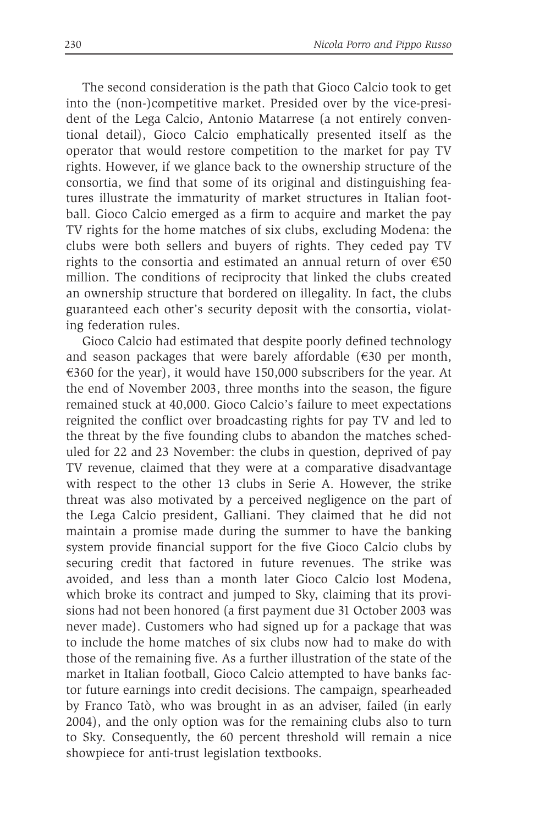The second consideration is the path that Gioco Calcio took to get into the (non-)competitive market. Presided over by the vice-president of the Lega Calcio, Antonio Matarrese (a not entirely conventional detail), Gioco Calcio emphatically presented itself as the operator that would restore competition to the market for pay TV rights. However, if we glance back to the ownership structure of the consortia, we find that some of its original and distinguishing features illustrate the immaturity of market structures in Italian football. Gioco Calcio emerged as a firm to acquire and market the pay TV rights for the home matches of six clubs, excluding Modena: the clubs were both sellers and buyers of rights. They ceded pay TV rights to the consortia and estimated an annual return of over  $\epsilon$ 50 million. The conditions of reciprocity that linked the clubs created an ownership structure that bordered on illegality. In fact, the clubs guaranteed each other's security deposit with the consortia, violating federation rules.

Gioco Calcio had estimated that despite poorly defined technology and season packages that were barely affordable  $(\epsilon 30$  per month,  $\epsilon$ 360 for the year), it would have 150,000 subscribers for the year. At the end of November 2003, three months into the season, the figure remained stuck at 40,000. Gioco Calcio's failure to meet expectations reignited the conflict over broadcasting rights for pay TV and led to the threat by the five founding clubs to abandon the matches scheduled for 22 and 23 November: the clubs in question, deprived of pay TV revenue, claimed that they were at a comparative disadvantage with respect to the other 13 clubs in Serie A. However, the strike threat was also motivated by a perceived negligence on the part of the Lega Calcio president, Galliani. They claimed that he did not maintain a promise made during the summer to have the banking system provide financial support for the five Gioco Calcio clubs by securing credit that factored in future revenues. The strike was avoided, and less than a month later Gioco Calcio lost Modena, which broke its contract and jumped to Sky, claiming that its provisions had not been honored (a first payment due 31 October 2003 was never made). Customers who had signed up for a package that was to include the home matches of six clubs now had to make do with those of the remaining five. As a further illustration of the state of the market in Italian football, Gioco Calcio attempted to have banks factor future earnings into credit decisions. The campaign, spearheaded by Franco Tatò, who was brought in as an adviser, failed (in early 2004), and the only option was for the remaining clubs also to turn to Sky. Consequently, the 60 percent threshold will remain a nice showpiece for anti-trust legislation textbooks.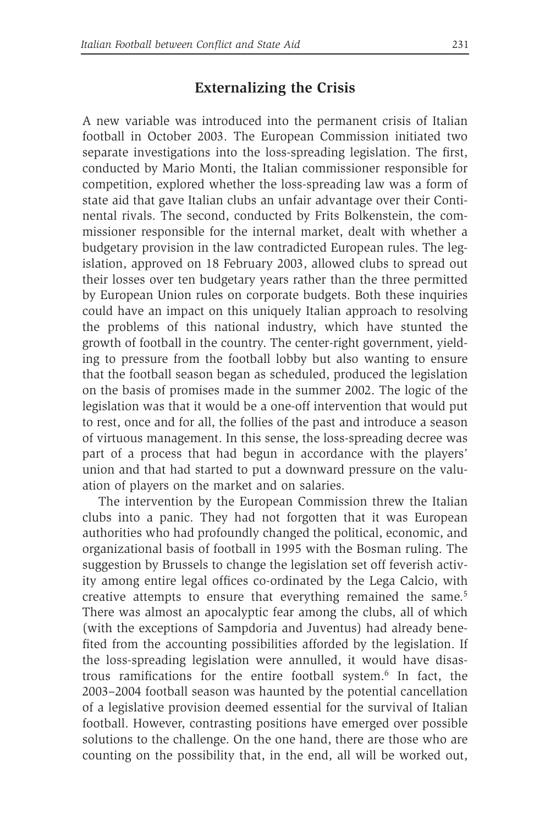## **Externalizing the Crisis**

A new variable was introduced into the permanent crisis of Italian football in October 2003. The European Commission initiated two separate investigations into the loss-spreading legislation. The first, conducted by Mario Monti, the Italian commissioner responsible for competition, explored whether the loss-spreading law was a form of state aid that gave Italian clubs an unfair advantage over their Continental rivals. The second, conducted by Frits Bolkenstein, the commissioner responsible for the internal market, dealt with whether a budgetary provision in the law contradicted European rules. The legislation, approved on 18 February 2003, allowed clubs to spread out their losses over ten budgetary years rather than the three permitted by European Union rules on corporate budgets. Both these inquiries could have an impact on this uniquely Italian approach to resolving the problems of this national industry, which have stunted the growth of football in the country. The center-right government, yielding to pressure from the football lobby but also wanting to ensure that the football season began as scheduled, produced the legislation on the basis of promises made in the summer 2002. The logic of the legislation was that it would be a one-off intervention that would put to rest, once and for all, the follies of the past and introduce a season of virtuous management. In this sense, the loss-spreading decree was part of a process that had begun in accordance with the players' union and that had started to put a downward pressure on the valuation of players on the market and on salaries.

The intervention by the European Commission threw the Italian clubs into a panic. They had not forgotten that it was European authorities who had profoundly changed the political, economic, and organizational basis of football in 1995 with the Bosman ruling. The suggestion by Brussels to change the legislation set off feverish activity among entire legal offices co-ordinated by the Lega Calcio, with creative attempts to ensure that everything remained the same.<sup>5</sup> There was almost an apocalyptic fear among the clubs, all of which (with the exceptions of Sampdoria and Juventus) had already benefited from the accounting possibilities afforded by the legislation. If the loss-spreading legislation were annulled, it would have disastrous ramifications for the entire football system.6 In fact, the 2003–2004 football season was haunted by the potential cancellation of a legislative provision deemed essential for the survival of Italian football. However, contrasting positions have emerged over possible solutions to the challenge. On the one hand, there are those who are counting on the possibility that, in the end, all will be worked out,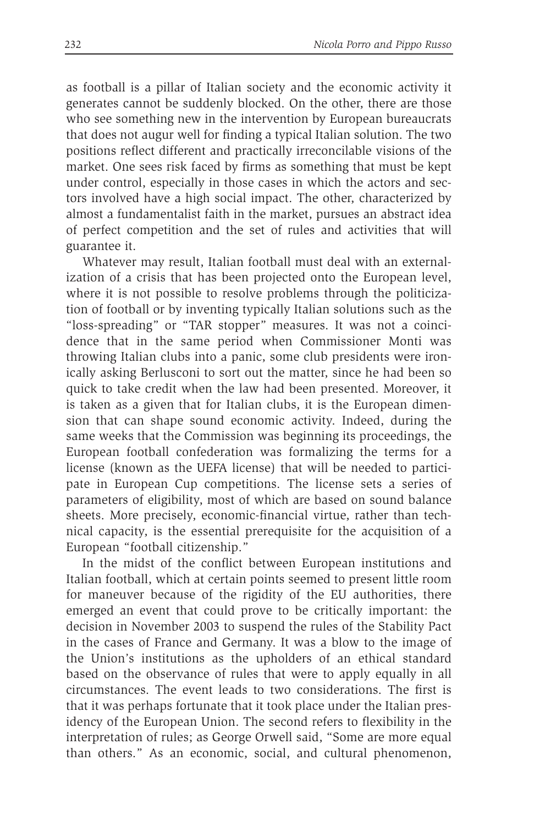as football is a pillar of Italian society and the economic activity it generates cannot be suddenly blocked. On the other, there are those who see something new in the intervention by European bureaucrats that does not augur well for finding a typical Italian solution. The two positions reflect different and practically irreconcilable visions of the market. One sees risk faced by firms as something that must be kept under control, especially in those cases in which the actors and sectors involved have a high social impact. The other, characterized by almost a fundamentalist faith in the market, pursues an abstract idea of perfect competition and the set of rules and activities that will guarantee it.

Whatever may result, Italian football must deal with an externalization of a crisis that has been projected onto the European level, where it is not possible to resolve problems through the politicization of football or by inventing typically Italian solutions such as the "loss-spreading" or "TAR stopper" measures. It was not a coincidence that in the same period when Commissioner Monti was throwing Italian clubs into a panic, some club presidents were ironically asking Berlusconi to sort out the matter, since he had been so quick to take credit when the law had been presented. Moreover, it is taken as a given that for Italian clubs, it is the European dimension that can shape sound economic activity. Indeed, during the same weeks that the Commission was beginning its proceedings, the European football confederation was formalizing the terms for a license (known as the UEFA license) that will be needed to participate in European Cup competitions. The license sets a series of parameters of eligibility, most of which are based on sound balance sheets. More precisely, economic-financial virtue, rather than technical capacity, is the essential prerequisite for the acquisition of a European "football citizenship."

In the midst of the conflict between European institutions and Italian football, which at certain points seemed to present little room for maneuver because of the rigidity of the EU authorities, there emerged an event that could prove to be critically important: the decision in November 2003 to suspend the rules of the Stability Pact in the cases of France and Germany. It was a blow to the image of the Union's institutions as the upholders of an ethical standard based on the observance of rules that were to apply equally in all circumstances. The event leads to two considerations. The first is that it was perhaps fortunate that it took place under the Italian presidency of the European Union. The second refers to flexibility in the interpretation of rules; as George Orwell said, "Some are more equal than others." As an economic, social, and cultural phenomenon,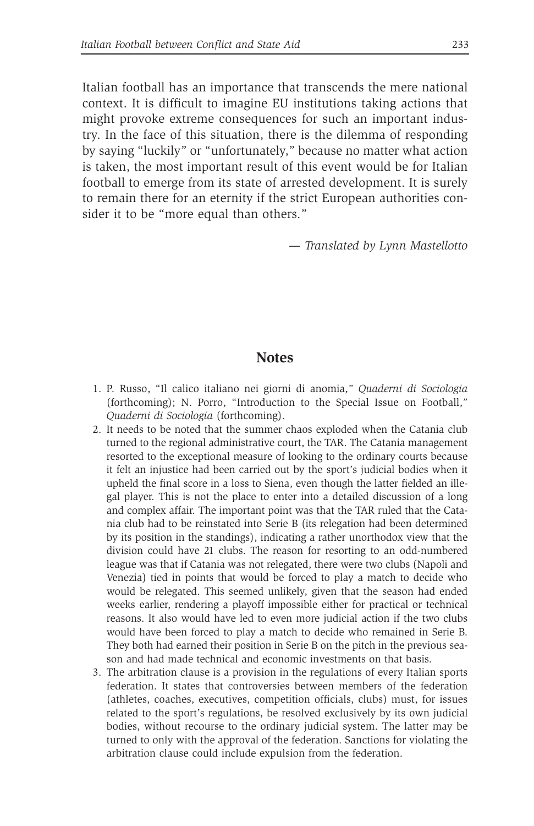Italian football has an importance that transcends the mere national context. It is difficult to imagine EU institutions taking actions that might provoke extreme consequences for such an important industry. In the face of this situation, there is the dilemma of responding by saying "luckily" or "unfortunately," because no matter what action is taken, the most important result of this event would be for Italian football to emerge from its state of arrested development. It is surely to remain there for an eternity if the strict European authorities consider it to be "more equal than others."

— *Translated by Lynn Mastellotto*

#### **Notes**

- 1. P. Russo, "Il calico italiano nei giorni di anomia," *Quaderni di Sociologia* (forthcoming); N. Porro, "Introduction to the Special Issue on Football," *Quaderni di Sociologia* (forthcoming).
- 2. It needs to be noted that the summer chaos exploded when the Catania club turned to the regional administrative court, the TAR. The Catania management resorted to the exceptional measure of looking to the ordinary courts because it felt an injustice had been carried out by the sport's judicial bodies when it upheld the final score in a loss to Siena, even though the latter fielded an illegal player. This is not the place to enter into a detailed discussion of a long and complex affair. The important point was that the TAR ruled that the Catania club had to be reinstated into Serie B (its relegation had been determined by its position in the standings), indicating a rather unorthodox view that the division could have 21 clubs. The reason for resorting to an odd-numbered league was that if Catania was not relegated, there were two clubs (Napoli and Venezia) tied in points that would be forced to play a match to decide who would be relegated. This seemed unlikely, given that the season had ended weeks earlier, rendering a playoff impossible either for practical or technical reasons. It also would have led to even more judicial action if the two clubs would have been forced to play a match to decide who remained in Serie B. They both had earned their position in Serie B on the pitch in the previous season and had made technical and economic investments on that basis.
- 3. The arbitration clause is a provision in the regulations of every Italian sports federation. It states that controversies between members of the federation (athletes, coaches, executives, competition officials, clubs) must, for issues related to the sport's regulations, be resolved exclusively by its own judicial bodies, without recourse to the ordinary judicial system. The latter may be turned to only with the approval of the federation. Sanctions for violating the arbitration clause could include expulsion from the federation.